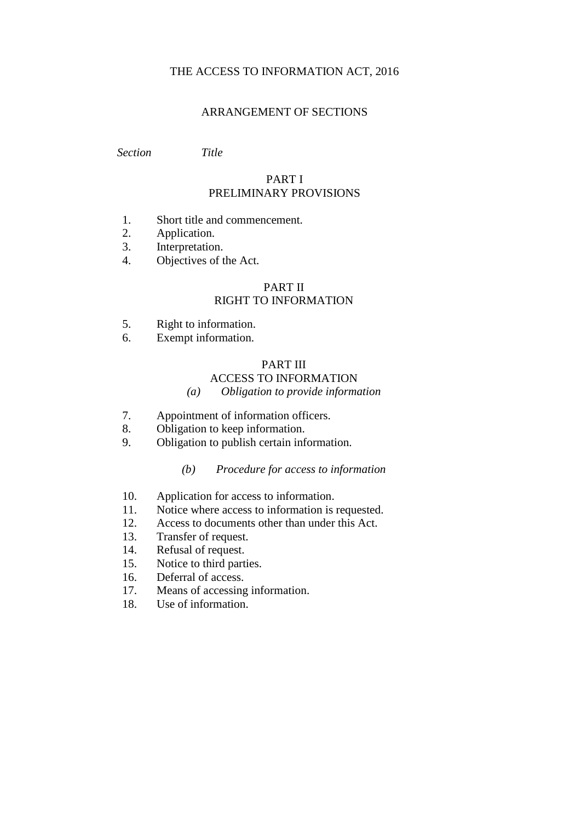### THE ACCESS TO INFORMATION ACT, 2016

#### ARRANGEMENT OF SECTIONS

*Section Title*

### PART I PRELIMINARY PROVISIONS

- 1. Short title and commencement.
- 2. Application.
- 3. Interpretation.
- 4. Objectives of the Act.

#### PART II RIGHT TO INFORMATION

- 5. Right to information.
- 6. Exempt information.

## PART III

# ACCESS TO INFORMATION

### *(a) Obligation to provide information*

- 7. Appointment of information officers.
- 8. Obligation to keep information.
- 9. Obligation to publish certain information.

### *(b) Procedure for access to information*

- 10. Application for access to information.
- 11. Notice where access to information is requested.
- 12. Access to documents other than under this Act.
- 13. Transfer of request.
- 14. Refusal of request.
- 15. Notice to third parties.
- 16. Deferral of access.
- 17. Means of accessing information.
- 18. Use of information.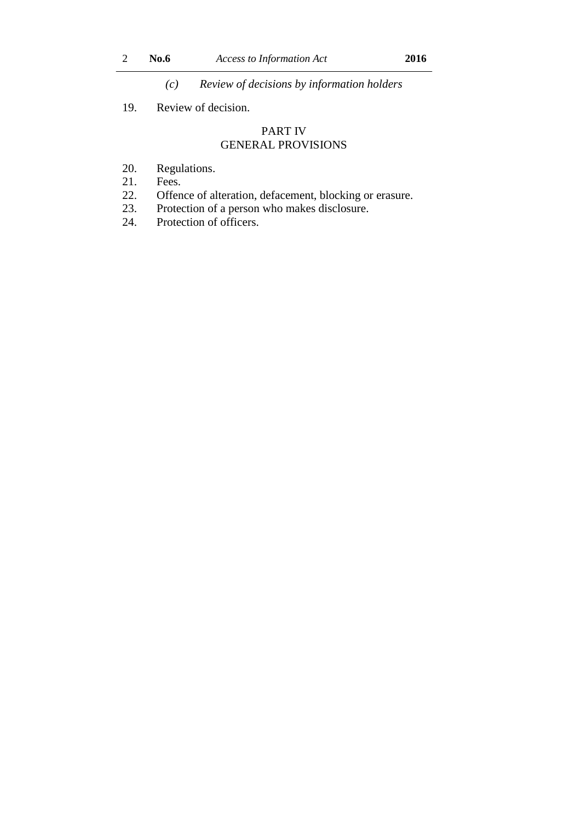*(c) Review of decisions by information holders*

### 19. Review of decision.

### PART IV GENERAL PROVISIONS

- 20. Regulations.
- 21. Fees.
- 22. Offence of alteration, defacement, blocking or erasure.
- 23. Protection of a person who makes disclosure.
- 24. Protection of officers.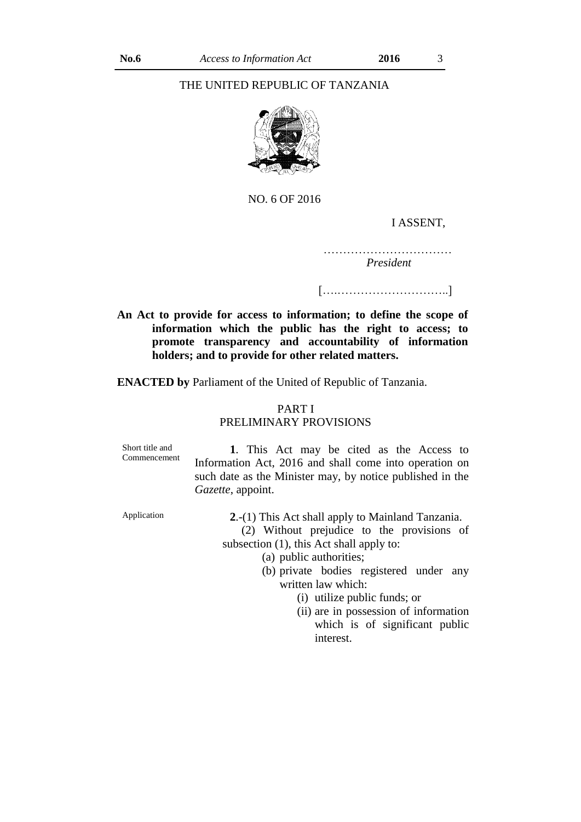#### THE UNITED REPUBLIC OF TANZANIA



NO. 6 OF 2016

#### I ASSENT,

…………………………… *President* 

[….………………………..]

**An Act to provide for access to information; to define the scope of information which the public has the right to access; to promote transparency and accountability of information holders; and to provide for other related matters.**

**ENACTED by** Parliament of the United of Republic of Tanzania.

### PART I PRELIMINARY PROVISIONS

| Short title and<br>Commencement | 1. This Act may be cited as the Access to<br>Information Act, 2016 and shall come into operation on<br>such date as the Minister may, by notice published in the<br>Gazette, appoint. |  |
|---------------------------------|---------------------------------------------------------------------------------------------------------------------------------------------------------------------------------------|--|
| Application                     | 2.-(1) This Act shall apply to Mainland Tanzania.<br>(2) Without prejudice to the provisions of<br>subsection (1), this Act shall apply to:                                           |  |
|                                 | (a) public authorities;<br>(b) private bodies registered under any                                                                                                                    |  |

(b) private bodies registered under any written law which:

(i) utilize public funds; or

(ii) are in possession of information which is of significant public interest.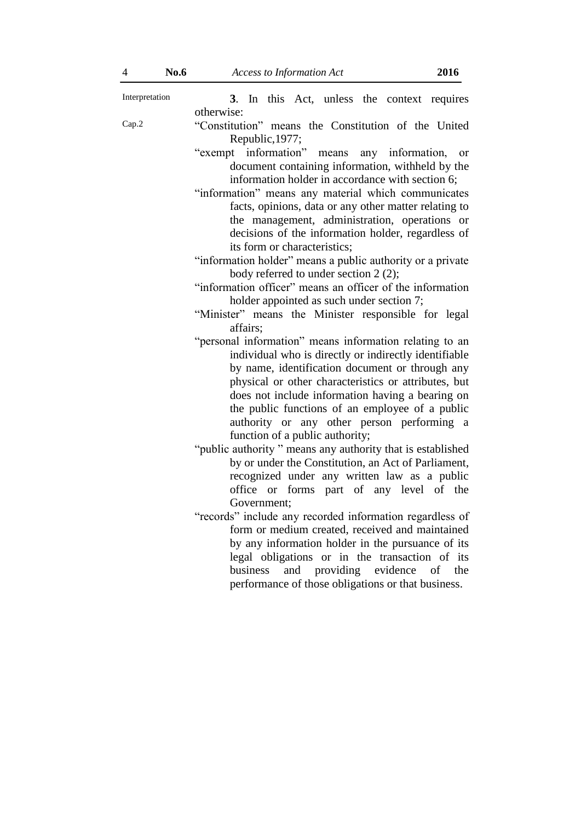| Interpretation | 3. In this Act, unless the context requires                            |
|----------------|------------------------------------------------------------------------|
|                | otherwise:                                                             |
| Cap.2          | "Constitution" means the Constitution of the United<br>Republic, 1977; |
|                | "exempt information" means any information, or                         |
|                | document containing information, withheld by the                       |
|                | information holder in accordance with section 6;                       |
|                | "information" means any material which communicates                    |
|                | facts, opinions, data or any other matter relating to                  |
|                | the management, administration, operations or                          |
|                | decisions of the information holder, regardless of                     |
|                | its form or characteristics;                                           |
|                | "information holder" means a public authority or a private             |
|                | body referred to under section 2 (2);                                  |
|                | "information officer" means an officer of the information              |
|                | holder appointed as such under section 7;                              |
|                | "Minister" means the Minister responsible for legal                    |
|                | affairs;                                                               |
|                | "personal information" means information relating to an                |
|                | individual who is directly or indirectly identifiable                  |
|                | by name, identification document or through any                        |
|                | physical or other characteristics or attributes, but                   |
|                | does not include information having a bearing on                       |
|                | the public functions of an employee of a public                        |
|                | authority or any other person performing a                             |
|                | function of a public authority;                                        |
|                | "public authority" means any authority that is established             |
|                | by or under the Constitution, an Act of Parliament,                    |
|                | recognized under any written law as a public                           |
|                | office or forms part of any level of the                               |
|                | Government;                                                            |
|                | "records" include any recorded information regardless of               |
|                | form or medium created, received and maintained                        |
|                | by any information holder in the pursuance of its                      |
|                | legal obligations or in the transaction of its                         |
|                | business<br>and<br>providing evidence<br>of<br>the                     |
|                | performance of those obligations or that business.                     |
|                |                                                                        |
|                |                                                                        |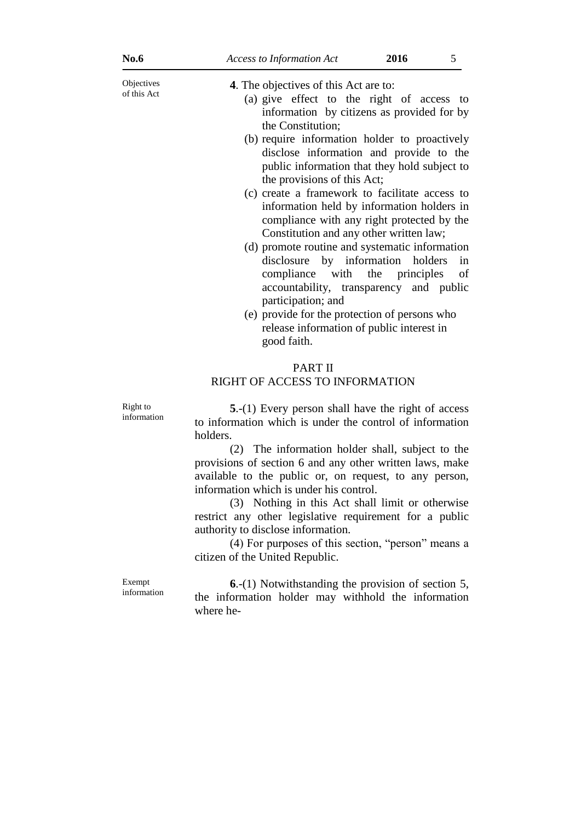| <b>No.6</b>               | <b>Access to Information Act</b>                                                                                                                                                                                                                                                                                                                                                                                                                                                                                                                                                                                                                                                                                                                                                                              | 2016 | 5                                       |
|---------------------------|---------------------------------------------------------------------------------------------------------------------------------------------------------------------------------------------------------------------------------------------------------------------------------------------------------------------------------------------------------------------------------------------------------------------------------------------------------------------------------------------------------------------------------------------------------------------------------------------------------------------------------------------------------------------------------------------------------------------------------------------------------------------------------------------------------------|------|-----------------------------------------|
| Objectives<br>of this Act | 4. The objectives of this Act are to:<br>(a) give effect to the right of access<br>information by citizens as provided for by<br>the Constitution;<br>(b) require information holder to proactively<br>disclose information and provide to the<br>public information that they hold subject to<br>the provisions of this Act;<br>(c) create a framework to facilitate access to<br>information held by information holders in<br>compliance with any right protected by the<br>Constitution and any other written law;<br>(d) promote routine and systematic information<br>disclosure by information<br>compliance<br>with the<br>accountability, transparency and public<br>participation; and<br>(e) provide for the protection of persons who<br>release information of public interest in<br>good faith. |      | to<br>holders<br>in<br>principles<br>οf |
|                           | PART II<br>RIGHT OF ACCESS TO INFORMATION                                                                                                                                                                                                                                                                                                                                                                                                                                                                                                                                                                                                                                                                                                                                                                     |      |                                         |
| Right to<br>information   | $5-(1)$ Every person shall have the right of access<br>to information which is under the control of information<br>holders.<br>(2) The information holder shall, subject to the<br>provisions of section 6 and any other written laws, make<br>available to the public or, on request, to any person,<br>information which is under his control.<br>(3) Nothing in this Act shall limit or otherwise<br>restrict any other legislative requirement for a public<br>authority to disclose information.<br>(4) For purposes of this section, "person" means a<br>citizen of the United Republic.                                                                                                                                                                                                                |      |                                         |
| Exempt                    | $6-(1)$ Notwithstanding the provision of section 5.                                                                                                                                                                                                                                                                                                                                                                                                                                                                                                                                                                                                                                                                                                                                                           |      |                                         |

**6**.-(1) Notwithstanding the provision of section 5, the information holder may withhold the information where he-

information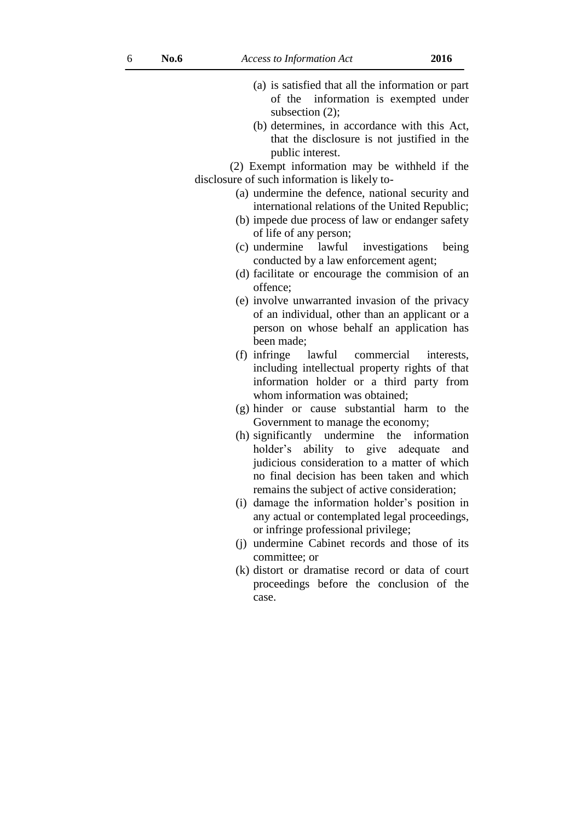- (a) is satisfied that all the information or part of the information is exempted under subsection (2):
- (b) determines, in accordance with this Act, that the disclosure is not justified in the public interest.

(2) Exempt information may be withheld if the disclosure of such information is likely to-

- (a) undermine the defence, national security and international relations of the United Republic;
- (b) impede due process of law or endanger safety of life of any person;
- (c) undermine lawful investigations being conducted by a law enforcement agent;
- (d) facilitate or encourage the commision of an offence;
- (e) involve unwarranted invasion of the privacy of an individual, other than an applicant or a person on whose behalf an application has been made;
- (f) infringe lawful commercial interests, including intellectual property rights of that information holder or a third party from whom information was obtained;
- (g) hinder or cause substantial harm to the Government to manage the economy;
- (h) significantly undermine the information holder's ability to give adequate and judicious consideration to a matter of which no final decision has been taken and which remains the subject of active consideration;
- (i) damage the information holder's position in any actual or contemplated legal proceedings, or infringe professional privilege;
- (j) undermine Cabinet records and those of its committee; or
- (k) distort or dramatise record or data of court proceedings before the conclusion of the case.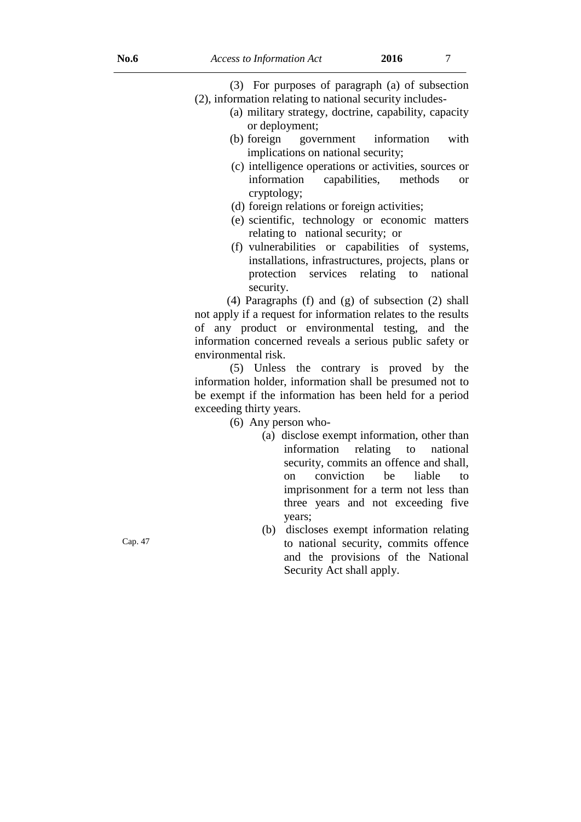(3) For purposes of paragraph (a) of subsection (2), information relating to national security includes-

- (a) military strategy, doctrine, capability, capacity or deployment;
- (b) foreign government information with implications on national security;
- (c) intelligence operations or activities, sources or information capabilities, methods or cryptology;
- (d) foreign relations or foreign activities;
- (e) scientific, technology or economic matters relating to national security; or
- (f) vulnerabilities or capabilities of systems, installations, infrastructures, projects, plans or protection services relating to national security.

 (4) Paragraphs (f) and (g) of subsection (2) shall not apply if a request for information relates to the results of any product or environmental testing, and the information concerned reveals a serious public safety or environmental risk.

(5) Unless the contrary is proved by the information holder, information shall be presumed not to be exempt if the information has been held for a period exceeding thirty years.

(6) Any person who-

- (a) disclose exempt information, other than information relating to national security, commits an offence and shall, on conviction be liable to imprisonment for a term not less than three years and not exceeding five years;
- (b) discloses exempt information relating to national security, commits offence and the provisions of the National Security Act shall apply.

Cap. 47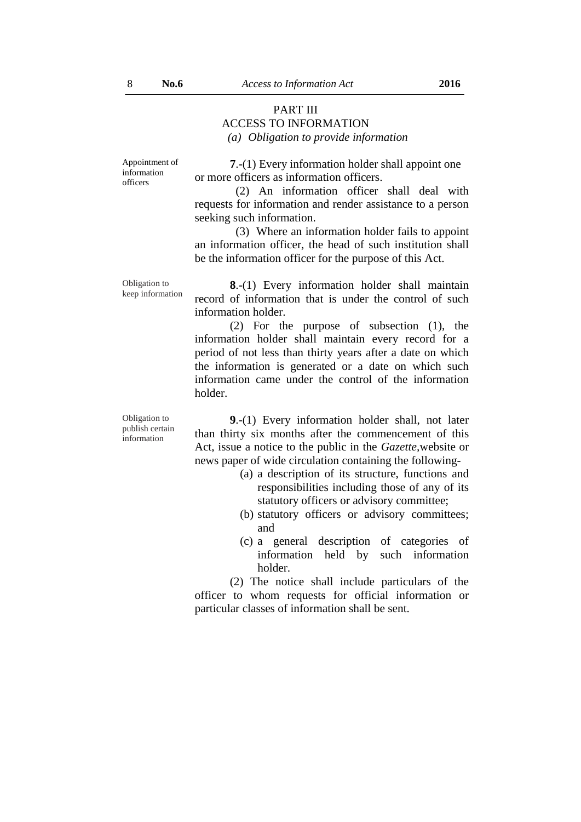#### PART III ACCESS TO INFORMATION *(a) Obligation to provide information*

Appointment of information officers

Obligation to

**7**.-(1) Every information holder shall appoint one or more officers as information officers.

(2) An information officer shall deal with requests for information and render assistance to a person seeking such information.

(3) Where an information holder fails to appoint an information officer, the head of such institution shall be the information officer for the purpose of this Act.

keep information **8**.-(1) Every information holder shall maintain record of information that is under the control of such information holder.

> (2) For the purpose of subsection (1), the information holder shall maintain every record for a period of not less than thirty years after a date on which the information is generated or a date on which such information came under the control of the information holder.

Obligation to publish certain information

**9**.-(1) Every information holder shall, not later than thirty six months after the commencement of this Act, issue a notice to the public in the *Gazette,*website or news paper of wide circulation containing the following-

- (a) a description of its structure, functions and responsibilities including those of any of its statutory officers or advisory committee;
- (b) statutory officers or advisory committees; and
- (c) a general description of categories of information held by such information holder.

(2) The notice shall include particulars of the officer to whom requests for official information or particular classes of information shall be sent.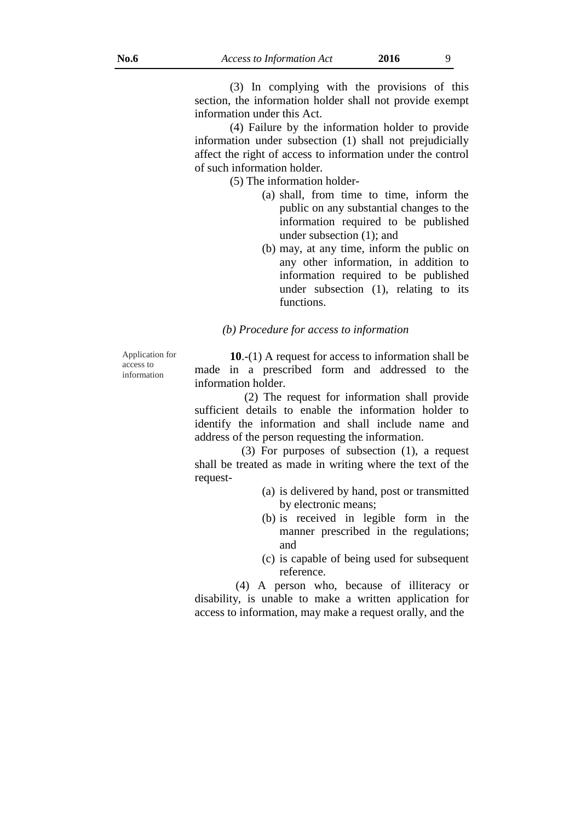(3) In complying with the provisions of this section, the information holder shall not provide exempt information under this Act.

(4) Failure by the information holder to provide information under subsection (1) shall not prejudicially affect the right of access to information under the control of such information holder.

(5) The information holder-

- (a) shall, from time to time, inform the public on any substantial changes to the information required to be published under subsection (1); and
- (b) may, at any time, inform the public on any other information, in addition to information required to be published under subsection (1), relating to its functions.

*(b) Procedure for access to information*

Application for access to information

**10**.-(1) A request for access to information shall be made in a prescribed form and addressed to the information holder.

 (2) The request for information shall provide sufficient details to enable the information holder to identify the information and shall include name and address of the person requesting the information.

 (3) For purposes of subsection (1), a request shall be treated as made in writing where the text of the request-

- (a) is delivered by hand, post or transmitted by electronic means;
- (b) is received in legible form in the manner prescribed in the regulations; and
- (c) is capable of being used for subsequent reference.

 (4) A person who, because of illiteracy or disability, is unable to make a written application for access to information, may make a request orally, and the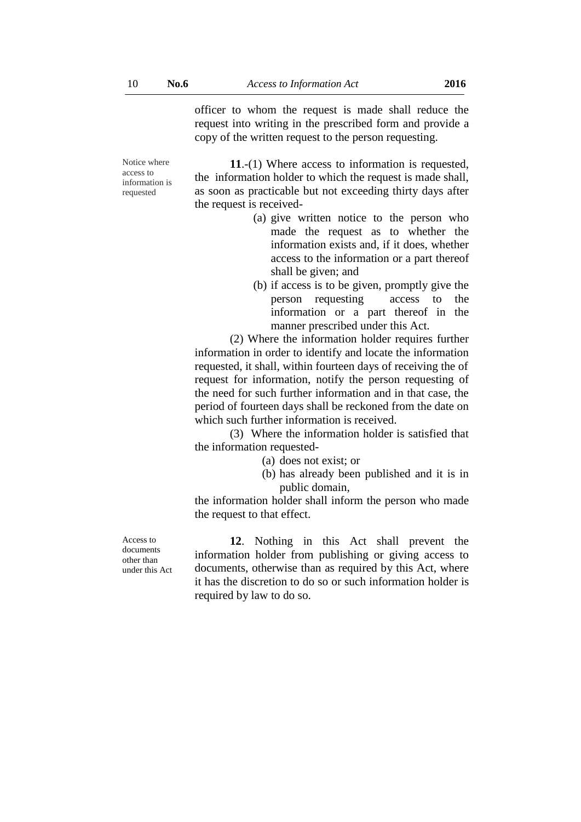officer to whom the request is made shall reduce the request into writing in the prescribed form and provide a copy of the written request to the person requesting.

Notice where access to information is requested

**11**.-(1) Where access to information is requested, the information holder to which the request is made shall, as soon as practicable but not exceeding thirty days after the request is received-

- (a) give written notice to the person who made the request as to whether the information exists and, if it does, whether access to the information or a part thereof shall be given; and
- (b) if access is to be given, promptly give the person requesting access to the information or a part thereof in the manner prescribed under this Act.

(2) Where the information holder requires further information in order to identify and locate the information requested, it shall, within fourteen days of receiving the of request for information, notify the person requesting of the need for such further information and in that case, the period of fourteen days shall be reckoned from the date on which such further information is received.

(3) Where the information holder is satisfied that the information requested-

(a) does not exist; or

(b) has already been published and it is in public domain,

the information holder shall inform the person who made the request to that effect.

Access to documents other than under this Act

**12**. Nothing in this Act shall prevent the information holder from publishing or giving access to documents, otherwise than as required by this Act, where it has the discretion to do so or such information holder is required by law to do so.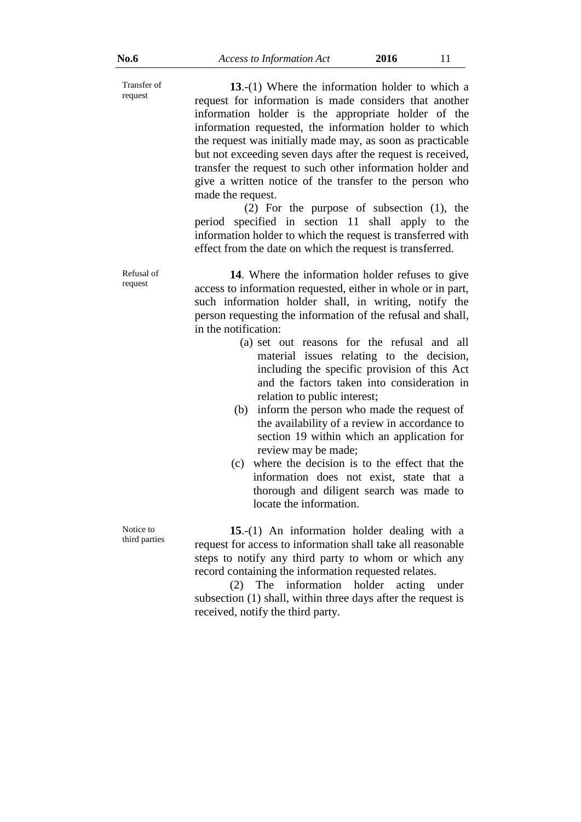Transfer of **13**.-(1) Where the information holder to which a request for information is made considers that another information holder is the appropriate holder of the information requested, the information holder to which the request was initially made may, as soon as practicable but not exceeding seven days after the request is received, transfer the request to such other information holder and give a written notice of the transfer to the person who made the request.

 (2) For the purpose of subsection (1), the period specified in section 11 shall apply to the information holder to which the request is transferred with effect from the date on which the request is transferred.

**14**. Where the information holder refuses to give access to information requested, either in whole or in part, such information holder shall, in writing, notify the person requesting the information of the refusal and shall, in the notification:

- (a) set out reasons for the refusal and all material issues relating to the decision, including the specific provision of this Act and the factors taken into consideration in relation to public interest;
- (b) inform the person who made the request of the availability of a review in accordance to section 19 within which an application for review may be made;
- (c) where the decision is to the effect that the information does not exist, state that a thorough and diligent search was made to locate the information.

**15**.-(1) An information holder dealing with a request for access to information shall take all reasonable steps to notify any third party to whom or which any record containing the information requested relates.

(2) The information holder acting under subsection (1) shall, within three days after the request is received, notify the third party.

Refusal of request

Notice to third parties

request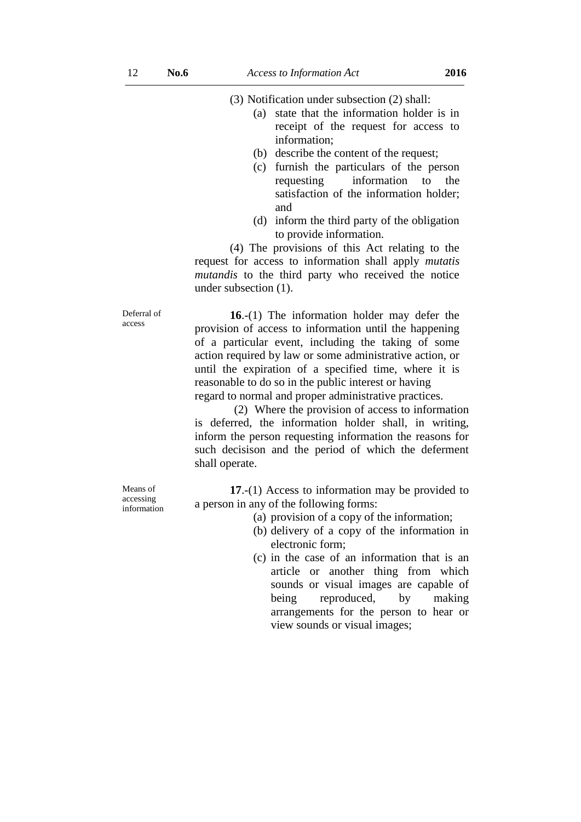(3) Notification under subsection (2) shall:

- (a) state that the information holder is in receipt of the request for access to information;
- (b) describe the content of the request;
- (c) furnish the particulars of the person requesting information to the satisfaction of the information holder; and
- (d) inform the third party of the obligation to provide information.

(4) The provisions of this Act relating to the request for access to information shall apply *mutatis mutandis* to the third party who received the notice under subsection (1).

**16**.-(1) The information holder may defer the provision of access to information until the happening of a particular event, including the taking of some action required by law or some administrative action, or until the expiration of a specified time, where it is reasonable to do so in the public interest or having regard to normal and proper administrative practices.

 (2) Where the provision of access to information is deferred, the information holder shall, in writing, inform the person requesting information the reasons for such decisison and the period of which the deferment shall operate.

**17**.-(1) Access to information may be provided to a person in any of the following forms:

- (a) provision of a copy of the information;
- (b) delivery of a copy of the information in electronic form;
- (c) in the case of an information that is an article or another thing from which sounds or visual images are capable of being reproduced, by making arrangements for the person to hear or view sounds or visual images;

Deferral of access

Means of accessing information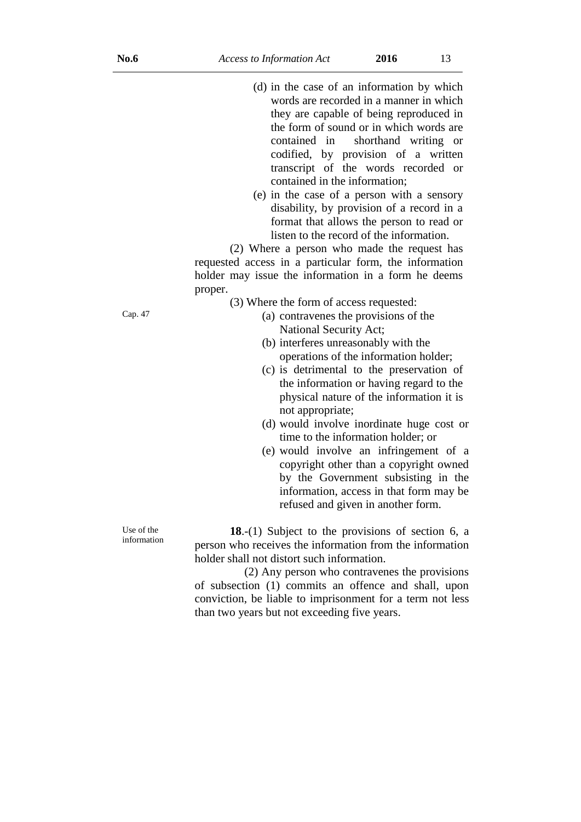- (d) in the case of an information by which words are recorded in a manner in which they are capable of being reproduced in the form of sound or in which words are contained in shorthand writing or codified, by provision of a written transcript of the words recorded or contained in the information;
- (e) in the case of a person with a sensory disability, by provision of a record in a format that allows the person to read or listen to the record of the information.

(2) Where a person who made the request has requested access in a particular form, the information holder may issue the information in a form he deems proper.

- (3) Where the form of access requested:
- Cap. 47 (a) contravenes the provisions of the National Security Act;
	- (b) interferes unreasonably with the operations of the information holder;
	- (c) is detrimental to the preservation of the information or having regard to the physical nature of the information it is not appropriate;
	- (d) would involve inordinate huge cost or time to the information holder; or
	- (e) would involve an infringement of a copyright other than a copyright owned by the Government subsisting in the information, access in that form may be refused and given in another form.

**18**.-(1) Subject to the provisions of section 6, a person who receives the information from the information holder shall not distort such information.

 (2) Any person who contravenes the provisions of subsection (1) commits an offence and shall, upon conviction, be liable to imprisonment for a term not less than two years but not exceeding five years.

Use of the information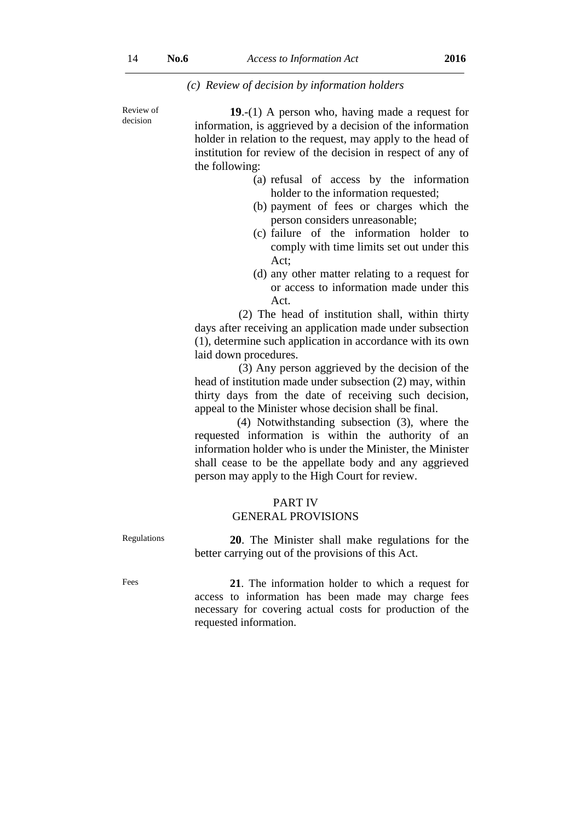#### *(c) Review of decision by information holders*

Review of decision

**19**.-(1) A person who, having made a request for information, is aggrieved by a decision of the information holder in relation to the request, may apply to the head of institution for review of the decision in respect of any of the following:

- (a) refusal of access by the information holder to the information requested;
- (b) payment of fees or charges which the person considers unreasonable;
- (c) failure of the information holder to comply with time limits set out under this Act;
- (d) any other matter relating to a request for or access to information made under this Act.

(2) The head of institution shall, within thirty days after receiving an application made under subsection (1), determine such application in accordance with its own laid down procedures.

 (3) Any person aggrieved by the decision of the head of institution made under subsection (2) may, within thirty days from the date of receiving such decision, appeal to the Minister whose decision shall be final.

(4) Notwithstanding subsection (3), where the requested information is within the authority of an information holder who is under the Minister, the Minister shall cease to be the appellate body and any aggrieved person may apply to the High Court for review.

#### PART IV GENERAL PROVISIONS

Regulations **20**. The Minister shall make regulations for the better carrying out of the provisions of this Act.

Fees **21**. The information holder to which a request for access to information has been made may charge fees necessary for covering actual costs for production of the requested information.